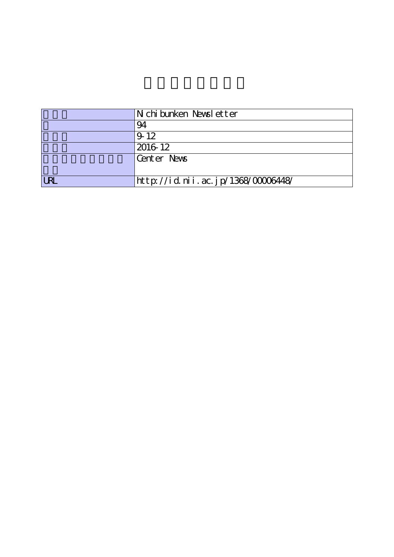|      | N chi bunken Newsl etter           |
|------|------------------------------------|
|      | 94                                 |
|      | $9 - 12$                           |
|      | 2016 12                            |
|      | Center News                        |
|      |                                    |
| I RI | http://id.nii.ac.jp/1368/00006448/ |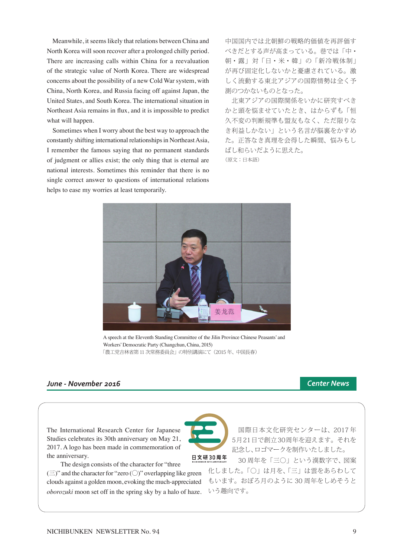Meanwhile, it seems likely that relations between China and North Korea will soon recover after a prolonged chilly period. There are increasing calls within China for a reevaluation of the strategic value of North Korea. There are widespread concerns about the possibility of a new Cold War system, with China, North Korea, and Russia facing off against Japan, the United States, and South Korea. The international situation in Northeast Asia remains in flux, and it is impossible to predict what will happen.

 Sometimes when I worry about the best way to approach the constantly shifting international relationships in Northeast Asia, I remember the famous saying that no permanent standards of judgment or allies exist; the only thing that is eternal are national interests. Sometimes this reminder that there is no single correct answer to questions of international relations helps to ease my worries at least temporarily.

中国国内では北朝鮮の戦略的価値を再評価す べきだとする声が高まっている。巷では「中・ 朝・露」対「日・米・韓」の「新冷戦体制」 が再び固定化しないかと憂慮されている。激 しく流動する東北アジアの国際情勢は全く予 測のつかないものとなった。

 北東アジアの国際関係をいかに研究すべき かと頭を悩ませていたとき、はからずも「恒 久不変の判断規準も盟友もなく、ただ限りな き利益しかない」という名言が脳裏をかすめ た。正答なき真理を会得した瞬間、悩みもし ばし和らいだように思えた。 (原文:日本語)

A speech at the Eleventh Standing Committee of the Jilin Province Chinese Peasants' and Workers' Democratic Party (Changchun, China, 2015) 「農工党吉林省第11 次常務委員会」の特別講演にて(2015 年、中国長春)

# *June - November 2016 Center News*

The International Research Center for Japanese Studies celebrates its 30th anniversary on May 21, 2017. A logo has been made in commemoration of the anniversary.

 The design consists of the character for "three  $(\equiv)$ " and the character for "zero ( $\bigcirc$ )" overlapping like green clouds against a golden moon, evoking the much-appreciated *oborozuki* moon set off in the spring sky by a halo of haze.

 国際日本文化研究センターは、2017 年 5月21日で創立30周年を迎えます。それを 記念し、ロゴマークを制作いたしました。

 30 周年を「三〇」という漢数字で、図案 化しました。「〇」は月を、「三」は雲をあらわして もいます。おぼろ月のように 30 周年をしめそうと いう趣向です。



日文研30周年

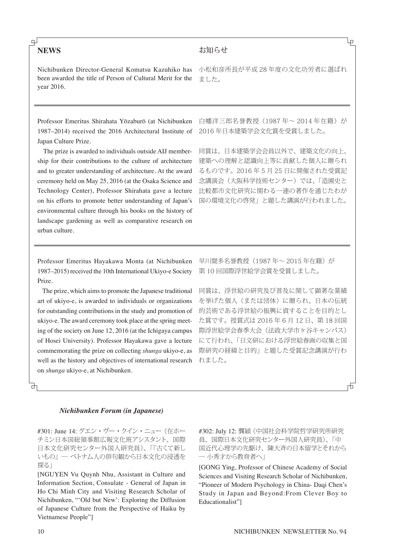# **NEWS**

௳

# Nichibunken Director-General Komatsu Kazuhiko has been awarded the title of Person of Cultural Merit for the year 2016.

Professor Emeritus Shirahata Yōzaburō (at Nichibunken 1987–2014) received the 2016 Architectural Institute of Japan Culture Prize.

 The prize is awarded to individuals outside AIJ membership for their contributions to the culture of architecture and to greater understanding of architecture. At the award ceremony held on May 25, 2016 (at the Osaka Science and Technology Center), Professor Shirahata gave a lecture on his efforts to promote better understanding of Japan's environmental culture through his books on the history of landscape gardening as well as comparative research on urban culture.

Professor Emeritus Hayakawa Monta (at Nichibunken 1987–2015) received the 10th International Ukiyo-e Society Prize.

 The prize, which aims to promote the Japanese traditional art of ukiyo-e, is awarded to individuals or organizations for outstanding contributions in the study and promotion of ukiyo-e. The award ceremony took place at the spring meeting of the society on June 12, 2016 (at the Ichigaya campus of Hosei University). Professor Hayakawa gave a lecture commemorating the prize on collecting *shunga* ukiyo-e, as well as the history and objectives of international research on *shunga* ukiyo-e, at Nichibunken.

小松和彦所長が平成 28 年度の文化功労者に選ばれ ました。

お知らせ

白幡洋三郎名誉教授(1987 年~ 2014 年在籍)が 2016 年日本建築学会文化賞を受賞しました。

同賞は、日本建築学会会員以外で、建築文化の向上、 建築への理解と認識向上等に貢献した個人に贈られ るものです。2016 年 5 月 25 日に開催された受賞記 念講演会(大阪科学技術センター)では、「造園史と 比較都市文化研究に関わる一連の著作を通じたわが 国の環境文化の啓発」と題した講演が行われました。

早川聞多名誉教授 (1987年~2015年在籍)が 第 10 回国際浮世絵学会賞を受賞しました。

同賞は、浮世絵の研究及び普及に関して顕著な業績 を挙げた個人(または団体)に贈られ、日本の伝統 的芸術である浮世絵の振興に資することを目的とし た賞です。授賞式は 2016 年 6 月 12 日、第 18 回国 際浮世絵学会春季大会(法政大学市ヶ谷キャンパス) にて行われ、「日文研における浮世絵春画の収集と国 際研究の経緯と目的」と題した受賞記念講演が行わ れました。

## *Nichibunken Forum (in Japanese)*

#301: June 14: グエン・ヴー・クイン・ニュー (在ホー チミン日本国総領事館広報文化班アシスタント、国際 日本文化研究センター外国人研究員)、「『古くて新し いもの』― ベトナム人の俳句観から日本文化の浸透を 探る|

[NGUYEN Vu Quynh Nhu, Assistant in Culture and Information Section, Consulate - General of Japan in Ho Chi Minh City and Visiting Research Scholar of Nichibunken, "'Old but New': Exploring the Diffusion of Japanese Culture from the Perspective of Haiku by Vietnamese People"]

#302: July 12: 龔穎 (中国社会科学院哲学研究所研究 員、国際日本文化研究センター外国人研究員)、「中 国近代心理学の先駆け、陳大斉の日本留学とそれから ― 小秀才から教育者へ」

[GONG Ying, Professor of Chinese Academy of Social Sciences and Visiting Research Scholar of Nichibunken, "Pioneer of Modern Psychology in China- Daqi Chen's Study in Japan and Beyond:From Clever Boy to Educationalist"]

Lр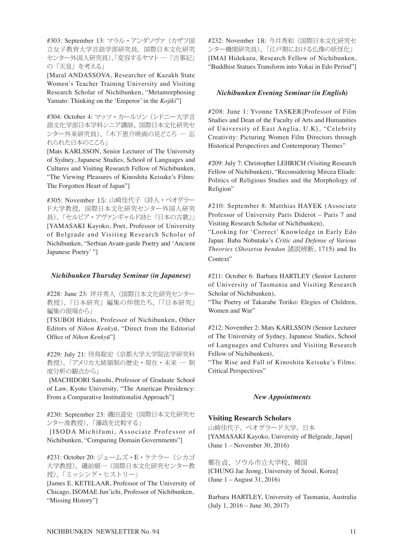#303: September 13: マラル・アンダソヴァ(カザフ国 立女子教育大学言語学部研究員、国際日本文化研究 センター外国人研究員)、「変容するヤマト ―『古事記』 の『天皇』を考える」

[Maral ANDASSOVA, Researcher of Kazakh State Women's Teacher Training University and Visiting Research Scholar of Nichibunken, "Metamorphosing Yamato: Thinking on the 'Emperor' in the *Kojiki*"]

#304: October 4: マッツ・カールソン (シドニー大学言 語文化学部日本学科シニア講師、国際日本文化研究セ ンター外来研究員)、「木下恵介映画の見どころ ― 忘 れられた日本のこころ」

[Mats KARLSSON, Senior Lecturer of The University of Sydney, Japanese Studies, School of Languages and Cultures and Visiting Research Fellow of Nichibunken, "The Viewing Pleasures of Kinoshita Keisuke's Films: The Forgotten Heart of Japan"]

#305: November 15: 山崎佳代子(詩人・ベオグラー ド大学教授、国際日本文化研究センター外国人研究 員)、「セルビア・アヴァンギャルド詩と『日本の古歌』」 [YAMASAKI Kayoko, Poet, Professor of University of Belgrade and Visiting Research Scholar of Nichibunken, "Serbian Avant-garde Poetry and 'Ancient Japanese Poetry' "]

## *Nichibunken Thursday Seminar (in Japanese)*

#228: June 23: 坪井秀人(国際日本文化研究センター 教授)、『日本研究』編集の仲間たち、「『日本研究』 編集の現場から」

[TSUBOI Hideto, Professor of Nichibunken, Other Editors of *Nihon Kenkyū*, "Direct from the Editorial Office of *Nihon Kenkyū*"]

#229: July 21: 待鳥聡史(京都大学大学院法学研究科 教授)、「アメリカ大統領制の歴史・現在・未来 ― 制 度分析の観点から」

 [MACHIDORI Satoshi, Professor of Graduate School of Law, Kyoto University, "The American Presidency: From a Comparative Institutionalist Approach"]

#230: September 23: 磯田道史 (国際日本文化研究セ ンター准教授)、「藩政を比較する」

 [ISODA Michifumi, Associate Professor of Nichibunken, "Comparing Domain Governments"]

#231: October 20: ジェームズ・E・ケテラー(シカゴ 大学教授)、磯前順一(国際日本文化研究センター教 授)、「ミッシング・ヒストリー」

[James E. KETELAAR, Professor of The University of Chicago, ISOMAE Jun'ichi, Professor of Nichibunken, "Missing History"]

#232: November 18: 今井秀和(国際日本文化研究セ ンター機関研究員)、「江戸期における仏像の妖怪化」 [IMAI Hidekazu, Research Fellow of Nichibunken, "Buddhist Statues Transform into Yokai in Edo Period"]

## *Nichibunken Evening Seminar (in English)*

#208: June 1: Yvonne TASKER(Professor of Film Studies and Dean of the Faculty of Arts and Humanities of University of East Anglia, U.K), "Celebrity Creativity: Picturing Women Film Directors through Historical Perspectives and Contemporary Themes"

#209: July 7: Christopher LEHRICH (Visiting Research Fellow of Nichibunken), "Reconsidering Mircea Eliade: Politics of Religious Studies and the Morphology of Religion"

#210: September 8: Matthias HAYEK (Associate Professor of University Paris Diderot – Paris 7 and Visiting Research Scholar of Nichibunken),

"Looking for 'Correct' Knowledge in Early Edo Japan: Baba Nobutake's *Critic and Defense of Various Theories* (*Shosetsu bendan* 諸説辨断, 1715) and Its Context"

#211: October 6: Barbara HARTLEY (Senior Lecturer of University of Tasmania and Visiting Research Scholar of Nichibunken),

"The Poetry of Takarabe Toriko: Elegies of Children, Women and War"

#212: November 2: Mats KARLSSON (Senior Lecturer of The University of Sydney, Japanese Studies, School of Languages and Cultures and Visiting Research Fellow of Nichibunken),

"The Rise and Fall of Kinoshita Keisuke's Films: Critical Perspectives"

# *New Appointments*

### **Visiting Research Scholars**

山崎佳代子、ベオグラード大学、日本 [YAMASAKI Kayoko, University of Belgrade, Japan] (June 1 – November 30, 2016)

鄭在貞、ソウル市立大学校、韓国 [CHUNG Jae Jeong, University of Seoul, Korea] (June 1 – August 31, 2016)

Barbara HARTLEY, University of Tasmania, Australia (July 1, 2016 – June 30, 2017)